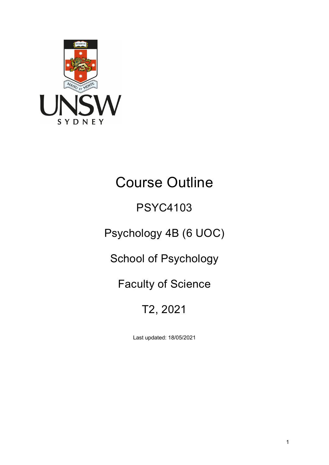

# Course Outline

# PSYC4103

# Psychology 4B (6 UOC)

# School of Psychology

## Faculty of Science

# T2, 2021

Last updated: 18/05/2021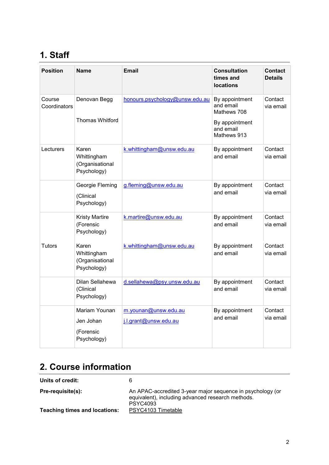## **1. Staff**

| <b>Position</b>        | <b>Name</b>                                            | <b>Email</b>                                  | <b>Consultation</b><br>times and<br><b>locations</b>                                     | <b>Contact</b><br><b>Details</b> |
|------------------------|--------------------------------------------------------|-----------------------------------------------|------------------------------------------------------------------------------------------|----------------------------------|
| Course<br>Coordinators | Denovan Begg<br><b>Thomas Whitford</b>                 | honours.psychology@unsw.edu.au                | By appointment<br>and email<br>Mathews 708<br>By appointment<br>and email<br>Mathews 913 | Contact<br>via email             |
| Lecturers              | Karen<br>Whittingham<br>(Organisational<br>Psychology) | k.whittingham@unsw.edu.au                     | By appointment<br>and email                                                              | Contact<br>via email             |
|                        | Georgie Fleming<br>(Clinical<br>Psychology)            | g.fleming@unsw.edu.au                         | By appointment<br>and email                                                              | Contact<br>via email             |
|                        | <b>Kristy Martire</b><br>(Forensic<br>Psychology)      | k.martire@unsw.edu.au                         | By appointment<br>and email                                                              | Contact<br>via email             |
| <b>Tutors</b>          | Karen<br>Whittingham<br>(Organisational<br>Psychology) | k.whittingham@unsw.edu.au                     | By appointment<br>and email                                                              | Contact<br>via email             |
|                        | Dilan Sellahewa<br>(Clinical<br>Psychology)            | d.sellahewa@psy.unsw.edu.au                   | By appointment<br>and email                                                              | Contact<br>via email             |
|                        | Mariam Younan<br>Jen Johan<br>(Forensic<br>Psychology) | m.younan@unsw.edu.au<br>j.l.grant@unsw.edu.au | By appointment<br>and email                                                              | Contact<br>via email             |

## **2. Course information**

**Units of credit:** 6

| Pre-requisite(s):             | An APAC-accredited 3-year major sequence in psychology (or<br>equivalent), including advanced research methods. |
|-------------------------------|-----------------------------------------------------------------------------------------------------------------|
| Teaching times and locations: | <b>PSYC4093</b><br>PSYC4103 Timetable                                                                           |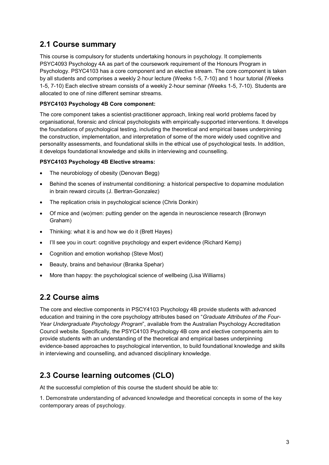### **2.1 Course summary**

This course is compulsory for students undertaking honours in psychology. It complements PSYC4093 Psychology 4A as part of the coursework requirement of the Honours Program in Psychology. PSYC4103 has a core component and an elective stream. The core component is taken by all students and comprises a weekly 2‐hour lecture (Weeks 1-5, 7-10) and 1 hour tutorial (Weeks 1-5, 7-10) Each elective stream consists of a weekly 2‐hour seminar (Weeks 1-5, 7-10). Students are allocated to one of nine different seminar streams.

#### **PSYC4103 Psychology 4B Core component:**

The core component takes a scientist‐practitioner approach, linking real world problems faced by organisational, forensic and clinical psychologists with empirically‐supported interventions. It develops the foundations of psychological testing, including the theoretical and empirical bases underpinning the construction, implementation, and interpretation of some of the more widely used cognitive and personality assessments, and foundational skills in the ethical use of psychological tests. In addition, it develops foundational knowledge and skills in interviewing and counselling.

#### **PSYC4103 Psychology 4B Elective streams:**

- The neurobiology of obesity (Denovan Begg)
- Behind the scenes of instrumental conditioning: a historical perspective to dopamine modulation in brain reward circuits (J. Bertran-Gonzalez)
- The replication crisis in psychological science (Chris Donkin)
- Of mice and (wo)men: putting gender on the agenda in neuroscience research (Bronwyn Graham)
- Thinking: what it is and how we do it (Brett Hayes)
- I'll see you in court: cognitive psychology and expert evidence (Richard Kemp)
- Cognition and emotion workshop (Steve Most)
- Beauty, brains and behaviour (Branka Spehar)
- More than happy: the psychological science of wellbeing (Lisa Williams)

#### **2.2 Course aims**

The core and elective components in PSCY4103 Psychology 4B provide students with advanced education and training in the core psychology attributes based on "*Graduate Attributes of the Four-Year Undergraduate Psychology Program*", available from the Australian Psychology Accreditation Council website. Specifically, the PSYC4103 Psychology 4B core and elective components aim to provide students with an understanding of the theoretical and empirical bases underpinning evidence‐based approaches to psychological intervention, to build foundational knowledge and skills in interviewing and counselling, and advanced disciplinary knowledge.

### **2.3 Course learning outcomes (CLO)**

At the successful completion of this course the student should be able to:

1. Demonstrate understanding of advanced knowledge and theoretical concepts in some of the key contemporary areas of psychology.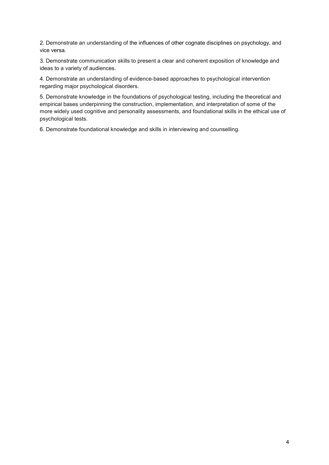2. Demonstrate an understanding of the influences of other cognate disciplines on psychology, and vice versa.

3. Demonstrate communication skills to present a clear and coherent exposition of knowledge and ideas to a variety of audiences.

4. Demonstrate an understanding of evidence‐based approaches to psychological intervention regarding major psychological disorders.

5. Demonstrate knowledge in the foundations of psychological testing, including the theoretical and empirical bases underpinning the construction, implementation, and interpretation of some of the more widely used cognitive and personality assessments, and foundational skills in the ethical use of psychological tests.

6. Demonstrate foundational knowledge and skills in interviewing and counselling.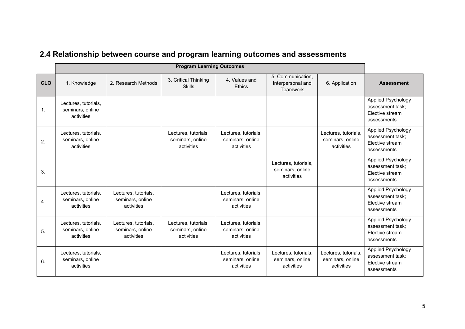|            | <b>Program Learning Outcomes</b>                       |                                                        |                                                        |                                                        |                                                        |                                                        |                                                                                 |
|------------|--------------------------------------------------------|--------------------------------------------------------|--------------------------------------------------------|--------------------------------------------------------|--------------------------------------------------------|--------------------------------------------------------|---------------------------------------------------------------------------------|
| <b>CLO</b> | 1. Knowledge                                           | 2. Research Methods                                    | 3. Critical Thinking<br><b>Skills</b>                  | 4. Values and<br><b>Ethics</b>                         | 5. Communication,<br>Interpersonal and<br>Teamwork     | 6. Application                                         | <b>Assessment</b>                                                               |
| 1.         | Lectures, tutorials,<br>seminars, online<br>activities |                                                        |                                                        |                                                        |                                                        |                                                        | <b>Applied Psychology</b><br>assessment task;<br>Elective stream<br>assessments |
| 2.         | Lectures, tutorials,<br>seminars, online<br>activities |                                                        | Lectures, tutorials,<br>seminars, online<br>activities | Lectures, tutorials,<br>seminars, online<br>activities |                                                        | Lectures, tutorials,<br>seminars, online<br>activities | Applied Psychology<br>assessment task:<br>Elective stream<br>assessments        |
| 3.         |                                                        |                                                        |                                                        |                                                        | Lectures, tutorials,<br>seminars, online<br>activities |                                                        | Applied Psychology<br>assessment task;<br>Elective stream<br>assessments        |
| 4.         | Lectures, tutorials,<br>seminars, online<br>activities | Lectures, tutorials,<br>seminars, online<br>activities |                                                        | Lectures, tutorials,<br>seminars, online<br>activities |                                                        |                                                        | Applied Psychology<br>assessment task;<br>Elective stream<br>assessments        |
| 5.         | Lectures, tutorials,<br>seminars, online<br>activities | Lectures, tutorials,<br>seminars, online<br>activities | Lectures, tutorials,<br>seminars, online<br>activities | Lectures, tutorials,<br>seminars, online<br>activities |                                                        |                                                        | Applied Psychology<br>assessment task;<br>Elective stream<br>assessments        |
| 6.         | Lectures, tutorials,<br>seminars, online<br>activities |                                                        |                                                        | Lectures, tutorials,<br>seminars, online<br>activities | Lectures, tutorials,<br>seminars, online<br>activities | Lectures, tutorials,<br>seminars, online<br>activities | Applied Psychology<br>assessment task;<br>Elective stream<br>assessments        |

## **2.4 Relationship between course and program learning outcomes and assessments**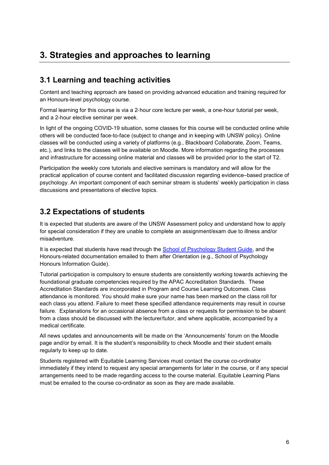## **3. Strategies and approaches to learning**

### **3.1 Learning and teaching activities**

Content and teaching approach are based on providing advanced education and training required for an Honours-level psychology course.

Formal learning for this course is via a 2‐hour core lecture per week, a one-hour tutorial per week, and a 2-hour elective seminar per week.

In light of the ongoing COVID-19 situation, some classes for this course will be conducted online while others will be conducted face-to-face (subject to change and in keeping with UNSW policy). Online classes will be conducted using a variety of platforms (e.g., Blackboard Collaborate, Zoom, Teams, etc.), and links to the classes will be available on Moodle. More information regarding the processes and infrastructure for accessing online material and classes will be provided prior to the start of T2.

Participation the weekly core tutorials and elective seminars is mandatory and will allow for the practical application of course content and facilitated discussion regarding evidence–based practice of psychology. An important component of each seminar stream is students' weekly participation in class discussions and presentations of elective topics.

#### **3.2 Expectations of students**

It is expected that students are aware of the UNSW Assessment policy and understand how to apply for special consideration if they are unable to complete an assignment/exam due to illness and/or misadventure.

It is expected that students have read through the [School of Psychology Student Guide,](https://www.psy.unsw.edu.au/current-students/student-guide) and the Honours-related documentation emailed to them after Orientation (e.g., School of Psychology Honours Information Guide).

Tutorial participation is compulsory to ensure students are consistently working towards achieving the foundational graduate competencies required by the APAC Accreditation Standards. These Accreditation Standards are incorporated in Program and Course Learning Outcomes. Class attendance is monitored. You should make sure your name has been marked on the class roll for each class you attend. Failure to meet these specified attendance requirements may result in course failure. Explanations for an occasional absence from a class or requests for permission to be absent from a class should be discussed with the lecturer/tutor, and where applicable, accompanied by a medical certificate.

All news updates and announcements will be made on the 'Announcements' forum on the Moodle page and/or by email. It is the student's responsibility to check Moodle and their student emails regularly to keep up to date.

Students registered with Equitable Learning Services must contact the course co-ordinator immediately if they intend to request any special arrangements for later in the course, or if any special arrangements need to be made regarding access to the course material. Equitable Learning Plans must be emailed to the course co-ordinator as soon as they are made available.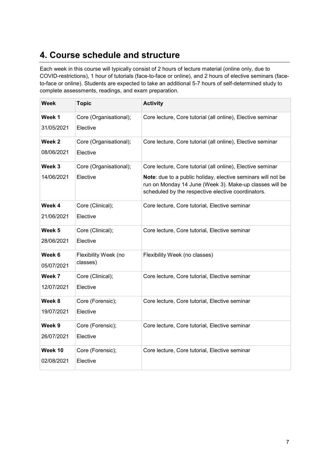## **4. Course schedule and structure**

Each week in this course will typically consist of 2 hours of lecture material (online only, due to COVID-restrictions), 1 hour of tutorials (face-to-face or online), and 2 hours of elective seminars (faceto-face or online). Students are expected to take an additional 5-7 hours of self-determined study to complete assessments, readings, and exam preparation.

| Week                  | <b>Topic</b>                       | <b>Activity</b>                                                                                                                                                               |
|-----------------------|------------------------------------|-------------------------------------------------------------------------------------------------------------------------------------------------------------------------------|
| Week 1<br>31/05/2021  | Core (Organisational);<br>Elective | Core lecture, Core tutorial (all online), Elective seminar                                                                                                                    |
| Week 2<br>08/06/2021  | Core (Organisational);<br>Elective | Core lecture, Core tutorial (all online), Elective seminar                                                                                                                    |
| Week 3                | Core (Organisational);             | Core lecture, Core tutorial (all online), Elective seminar                                                                                                                    |
| 14/06/2021            | Elective                           | Note: due to a public holiday, elective seminars will not be<br>run on Monday 14 June (Week 3). Make-up classes will be<br>scheduled by the respective elective coordinators. |
| Week 4                | Core (Clinical);                   | Core lecture, Core tutorial, Elective seminar                                                                                                                                 |
| 21/06/2021            | Elective                           |                                                                                                                                                                               |
| Week 5                | Core (Clinical);                   | Core lecture, Core tutorial, Elective seminar                                                                                                                                 |
| 28/06/2021            | Elective                           |                                                                                                                                                                               |
| Week 6<br>05/07/2021  | Flexibility Week (no<br>classes)   | Flexibility Week (no classes)                                                                                                                                                 |
| Week 7                | Core (Clinical);                   | Core lecture, Core tutorial, Elective seminar                                                                                                                                 |
| 12/07/2021            | Elective                           |                                                                                                                                                                               |
| Week 8                | Core (Forensic);                   | Core lecture, Core tutorial, Elective seminar                                                                                                                                 |
| 19/07/2021            | Elective                           |                                                                                                                                                                               |
| Week 9                | Core (Forensic);                   | Core lecture, Core tutorial, Elective seminar                                                                                                                                 |
| 26/07/2021            | Elective                           |                                                                                                                                                                               |
| Week 10<br>02/08/2021 | Core (Forensic);<br>Elective       | Core lecture, Core tutorial, Elective seminar                                                                                                                                 |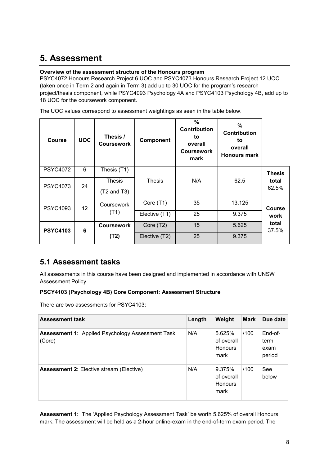## **5. Assessment**

#### **Overview of the assessment structure of the Honours program**

PSYC4072 Honours Research Project 6 UOC and PSYC4073 Honours Research Project 12 UOC (taken once in Term 2 and again in Term 3) add up to 30 UOC for the program's research project/thesis component, while PSYC4093 Psychology 4A and PSYC4103 Psychology 4B, add up to 18 UOC for the coursework component.

The UOC values correspond to assessment weightings as seen in the table below.

| <b>Course</b>   | <b>UOC</b>      | Thesis /<br><b>Coursework</b> | Component     | $\frac{0}{0}$<br><b>Contribution</b><br>to<br>overall<br><b>Coursework</b><br>mark | %<br>Contribution<br>to<br>overall<br><b>Honours mark</b> |                |
|-----------------|-----------------|-------------------------------|---------------|------------------------------------------------------------------------------------|-----------------------------------------------------------|----------------|
| <b>PSYC4072</b> | 6               | Thesis (T1)                   |               |                                                                                    |                                                           | <b>Thesis</b>  |
| <b>PSYC4073</b> | 24              | Thesis                        | <b>Thesis</b> | N/A                                                                                | 62.5                                                      | total          |
|                 |                 | $(T2$ and T3)                 |               |                                                                                    |                                                           | 62.5%          |
| <b>PSYC4093</b> | 12 <sub>2</sub> | Coursework                    | Core (T1)     | 35                                                                                 | 13.125                                                    | <b>Course</b>  |
|                 |                 | (T1)                          | Elective (T1) | 25                                                                                 | 9.375                                                     | work           |
| <b>PSYC4103</b> | 6               | <b>Coursework</b>             | Core (T2)     | 15                                                                                 | 5.625                                                     | total<br>37.5% |
|                 |                 | (T2)                          | Elective (T2) | 25                                                                                 | 9.375                                                     |                |

### **5.1 Assessment tasks**

All assessments in this course have been designed and implemented in accordance with UNSW Assessment Policy.

#### **PSCY4103 (Psychology 4B) Core Component: Assessment Structure**

There are two assessments for PSYC4103:

| <b>Assessment task</b>                                            | Length | Weight                                         | <b>Mark</b> | Due date                          |
|-------------------------------------------------------------------|--------|------------------------------------------------|-------------|-----------------------------------|
| <b>Assessment 1: Applied Psychology Assessment Task</b><br>(Core) | N/A    | 5.625%<br>of overall<br><b>Honours</b><br>mark | /100        | End-of-<br>term<br>exam<br>period |
| <b>Assessment 2: Elective stream (Elective)</b>                   | N/A    | 9.375%<br>of overall<br><b>Honours</b><br>mark | /100        | See<br>below                      |

**Assessment 1:** The 'Applied Psychology Assessment Task' be worth 5.625% of overall Honours mark. The assessment will be held as a 2-hour online-exam in the end-of-term exam period. The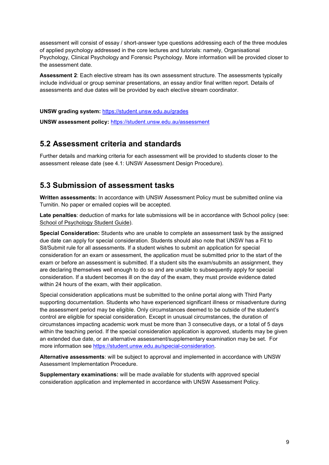assessment will consist of essay / short-answer type questions addressing each of the three modules of applied psychology addressed in the core lectures and tutorials: namely, Organisational Psychology, Clinical Psychology and Forensic Psychology. More information will be provided closer to the assessment date.

**Assessment 2**: Each elective stream has its own assessment structure. The assessments typically include individual or group seminar presentations, an essay and/or final written report. Details of assessments and due dates will be provided by each elective stream coordinator.

**UNSW grading system:** <https://student.unsw.edu.au/grades>

**UNSW assessment policy:** <https://student.unsw.edu.au/assessment>

#### **5.2 Assessment criteria and standards**

Further details and marking criteria for each assessment will be provided to students closer to the assessment release date (see 4.1: UNSW Assessment Design Procedure).

#### **5.3 Submission of assessment tasks**

**Written assessments:** In accordance with UNSW Assessment Policy must be submitted online via Turnitin. No paper or emailed copies will be accepted.

**Late penalties**: deduction of marks for late submissions will be in accordance with School policy (see: [School of Psychology Student Guide\)](http://www.psy.unsw.edu.au/current-students/student-guide).

**Special Consideration:** Students who are unable to complete an assessment task by the assigned due date can apply for special consideration. Students should also note that UNSW has a Fit to Sit/Submit rule for all assessments. If a student wishes to submit an application for special consideration for an exam or assessment, the application must be submitted prior to the start of the exam or before an assessment is submitted. If a student sits the exam/submits an assignment, they are declaring themselves well enough to do so and are unable to subsequently apply for special consideration. If a student becomes ill on the day of the exam, they must provide evidence dated within 24 hours of the exam, with their application.

Special consideration applications must be submitted to the online portal along with Third Party supporting documentation. Students who have experienced significant illness or misadventure during the assessment period may be eligible. Only circumstances deemed to be outside of the student's control are eligible for special consideration. Except in unusual circumstances, the duration of circumstances impacting academic work must be more than 3 consecutive days, or a total of 5 days within the teaching period. If the special consideration application is approved, students may be given an extended due date, or an alternative assessment/supplementary examination may be set. For more information see [https://student.unsw.edu.au/special-consideration.](https://student.unsw.edu.au/special-consideration)

**Alternative assessments**: will be subject to approval and implemented in accordance with UNSW Assessment Implementation Procedure.

**Supplementary examinations:** will be made available for students with approved special consideration application and implemented in accordance with UNSW Assessment Policy.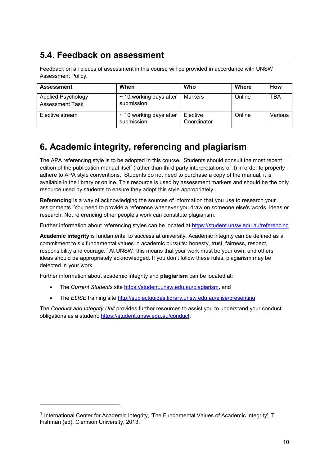## **5.4. Feedback on assessment**

Feedback on all pieces of assessment in this course will be provided in accordance with UNSW Assessment Policy.

| <b>Assessment</b>                            | When                                       | Who                     | Where  | How        |
|----------------------------------------------|--------------------------------------------|-------------------------|--------|------------|
| Applied Psychology<br><b>Assessment Task</b> | $\sim$ 10 working days after<br>submission | Markers                 | Online | <b>TBA</b> |
| Elective stream                              | $\sim$ 10 working days after<br>submission | Elective<br>Coordinator | Online | Various    |

## **6. Academic integrity, referencing and plagiarism**

The APA referencing style is to be adopted in this course. Students should consult the most recent edition of the publication manual itself (rather than third party interpretations of it) in order to properly adhere to APA style conventions. Students do not need to purchase a copy of the manual, it is available in the library or online. This resource is used by assessment markers and should be the only resource used by students to ensure they adopt this style appropriately.

**Referencing** is a way of acknowledging the sources of information that you use to research your assignments. You need to provide a reference whenever you draw on someone else's words, ideas or research. Not referencing other people's work can constitute plagiarism.

Further information about referencing styles can be located at <https://student.unsw.edu.au/referencing>

**Academic integrity** is fundamental to success at university. Academic integrity can be defined as a commitment to six fundamental values in academic pursuits**:** honesty, trust, fairness, respect, responsibility and courage.*[1](#page-9-0)* At UNSW, this means that your work must be your own, and others' ideas should be appropriately acknowledged. If you don't follow these rules, plagiarism may be detected in your work.

Further information about academic integrity and **plagiarism** can be located at:

- The *Current Students* site <https://student.unsw.edu.au/plagiarism>*,* and
- The *ELISE* training site <http://subjectguides.library.unsw.edu.au/elise/presenting>

The *Conduct and Integrity Unit* provides further resources to assist you to understand your conduct obligations as a student: [https://student.unsw.edu.au/conduct.](https://student.unsw.edu.au/conduct)

j

<span id="page-9-0"></span><sup>1</sup> International Center for Academic Integrity, 'The Fundamental Values of Academic Integrity', T. Fishman (ed), Clemson University, 2013.